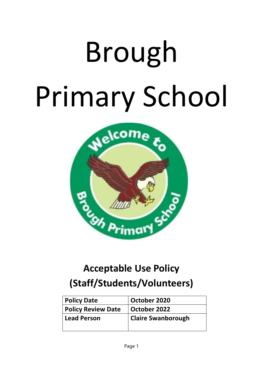# Brough Primary School



## **Acceptable Use Policy (Staff/Students/Volunteers)**

| <b>Policy Date</b>        | October 2020              |
|---------------------------|---------------------------|
| <b>Policy Review Date</b> | October 2022              |
| <b>Lead Person</b>        | <b>Claire Swanborough</b> |
|                           |                           |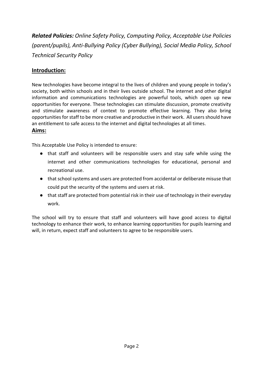*Related Policies: Online Safety Policy, Computing Policy, Acceptable Use Policies (parent/pupils), Anti-Bullying Policy (Cyber Bullying), Social Media Policy, School Technical Security Policy*

#### **Introduction:**

New technologies have become integral to the lives of children and young people in today's society, both within schools and in their lives outside school. The internet and other digital information and communications technologies are powerful tools, which open up new opportunities for everyone. These technologies can stimulate discussion, promote creativity and stimulate awareness of context to promote effective learning. They also bring opportunities for staff to be more creative and productive in their work. All users should have an entitlement to safe access to the internet and digital technologies at all times.

#### **Aims:**

This Acceptable Use Policy is intended to ensure:

- that staff and volunteers will be responsible users and stay safe while using the internet and other communications technologies for educational, personal and recreational use.
- that school systems and users are protected from accidental or deliberate misuse that could put the security of the systems and users at risk.
- that staff are protected from potential risk in their use of technology in their everyday work.

The school will try to ensure that staff and volunteers will have good access to digital technology to enhance their work, to enhance learning opportunities for pupils learning and will, in return, expect staff and volunteers to agree to be responsible users.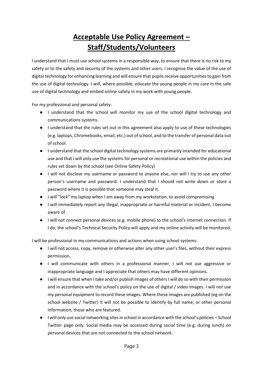### **Acceptable Use Policy Agreement – Staff/Students/Volunteers**

I understand that I must use school systems in a responsible way, to ensure that there is no risk to my safety or to the safety and security of the systems and other users. I recognise the value of the use of digital technology for enhancing learning and will ensure that pupils receive opportunities to gain from the use of digital technology. I will, where possible, educate the young people in my care in the safe use of digital technology and embed online safety in my work with young people.

For my professional and personal safety:

- I understand that the school will monitor my use of the school digital technology and communications systems.
- I understand that the rules set out in this agreement also apply to use of these technologies (e.g. laptops, Chromebooks, email, etc.) out of school, and to the transfer of personal data out of school.
- I understand that the school digital technology systems are primarily intended for educational use and that I will only use the systems for personal or recreational use within the policies and rules set down by the school (see Online Safety Policy)
- I will not disclose my username or password to anyone else, nor will I try to use any other person's username and password. I understand that I should not write down or store a password where it is possible that someone may steal it.
- I will "lock" my laptop when I am away from my workstation, to avoid compromising
- I will immediately report any illegal, inappropriate or harmful material or incident, I become aware of.
- I will not connect personal devices (e.g. mobile phone) to the school's internet connection. If I do, the school's Technical Security Policy will apply and my online activity will be monitored.

I will be professional in my communications and actions when using school systems:

- I will not access, copy, remove or otherwise alter any other user's files, without their express permission.
- I will communicate with others in a professional manner, I will not use aggressive or inappropriate language and I appreciate that others may have different opinions.
- I will ensure that when I take and/or publish images of others I will do so with their permission and in accordance with the school's policy on the use of digital / video images. I will not use my personal equipment to record these images. Where these images are published (eg on the school website / Twitter) it will not be possible to identify by full name, or other personal information, those who are featured.
- I will only use social networking sites in school in accordance with the school's policies School Twitter page only. Social media may be accessed during social time (e.g. during lunch) on personal devices that are not connected to the school network.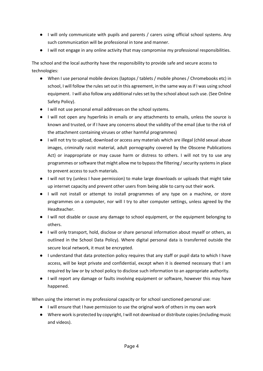- I will only communicate with pupils and parents / carers using official school systems. Any such communication will be professional in tone and manner.
- I will not engage in any online activity that may compromise my professional responsibilities.

The school and the local authority have the responsibility to provide safe and secure access to technologies:

- When I use personal mobile devices (laptops / tablets / mobile phones / Chromebooks etc) in school, I will follow the rules set out in this agreement, in the same way as if I was using school equipment. I will also follow any additional rules set by the school about such use. (See Online Safety Policy).
- I will not use personal email addresses on the school systems.
- I will not open any hyperlinks in emails or any attachments to emails, unless the source is known and trusted, or if I have any concerns about the validity of the email (due to the risk of the attachment containing viruses or other harmful programmes)
- I will not try to upload, download or access any materials which are illegal (child sexual abuse images, criminally racist material, adult pornography covered by the Obscene Publications Act) or inappropriate or may cause harm or distress to others. I will not try to use any programmes or software that might allow me to bypass the filtering / security systems in place to prevent access to such materials.
- I will not try (unless I have permission) to make large downloads or uploads that might take up internet capacity and prevent other users from being able to carry out their work.
- I will not install or attempt to install programmes of any type on a machine, or store programmes on a computer, nor will I try to alter computer settings, unless agreed by the Headteacher.
- I will not disable or cause any damage to school equipment, or the equipment belonging to others.
- I will only transport, hold, disclose or share personal information about myself or others, as outlined in the School Data Policy). Where digital personal data is transferred outside the secure local network, it must be encrypted.
- I understand that data protection policy requires that any staff or pupil data to which I have access, will be kept private and confidential, except when it is deemed necessary that I am required by law or by school policy to disclose such information to an appropriate authority.
- I will report any damage or faults involving equipment or software, however this may have happened.

When using the internet in my professional capacity or for school sanctioned personal use:

- I will ensure that I have permission to use the original work of others in my own work
- Where work is protected by copyright, I will not download or distribute copies (including music and videos).